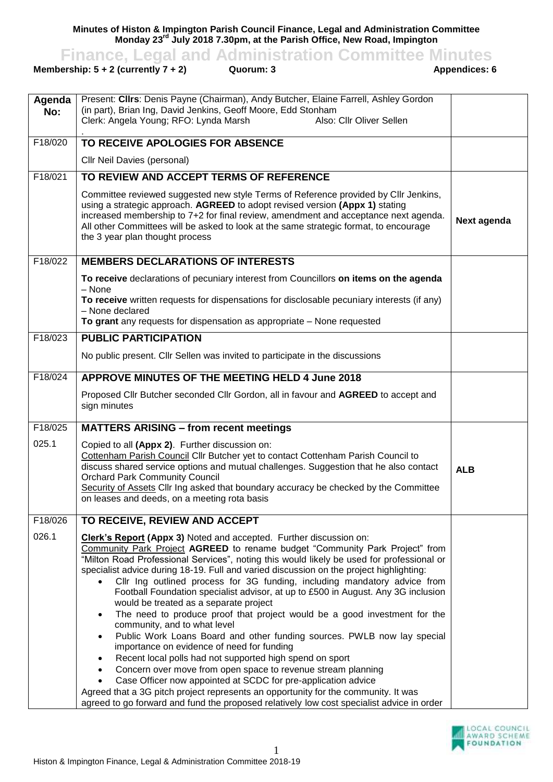**Minutes of Histon & Impington Parish Council Finance, Legal and Administration Committee Monday 23rd July 2018 7.30pm, at the Parish Office, New Road, Impington**

**Finance, Legal and Administration Committee Minutes**<br>**auorum: 3** Appendices: 6<br>**Appendices: 6** 

## **Membership:**  $5 + 2$  **(currently**  $7 + 2$ **)**

| Agenda<br>No: | Present: Clirs: Denis Payne (Chairman), Andy Butcher, Elaine Farrell, Ashley Gordon<br>(in part), Brian Ing, David Jenkins, Geoff Moore, Edd Stonham<br>Clerk: Angela Young; RFO: Lynda Marsh<br>Also: Cllr Oliver Sellen                                                                                                                                                                                                                                                                                                                                                                                                                                                                                                                                                                                                                                                                                                                                                                                                                                                                                                                                                           |             |
|---------------|-------------------------------------------------------------------------------------------------------------------------------------------------------------------------------------------------------------------------------------------------------------------------------------------------------------------------------------------------------------------------------------------------------------------------------------------------------------------------------------------------------------------------------------------------------------------------------------------------------------------------------------------------------------------------------------------------------------------------------------------------------------------------------------------------------------------------------------------------------------------------------------------------------------------------------------------------------------------------------------------------------------------------------------------------------------------------------------------------------------------------------------------------------------------------------------|-------------|
| F18/020       | TO RECEIVE APOLOGIES FOR ABSENCE                                                                                                                                                                                                                                                                                                                                                                                                                                                                                                                                                                                                                                                                                                                                                                                                                                                                                                                                                                                                                                                                                                                                                    |             |
|               | Cllr Neil Davies (personal)                                                                                                                                                                                                                                                                                                                                                                                                                                                                                                                                                                                                                                                                                                                                                                                                                                                                                                                                                                                                                                                                                                                                                         |             |
| F18/021       | TO REVIEW AND ACCEPT TERMS OF REFERENCE                                                                                                                                                                                                                                                                                                                                                                                                                                                                                                                                                                                                                                                                                                                                                                                                                                                                                                                                                                                                                                                                                                                                             |             |
|               | Committee reviewed suggested new style Terms of Reference provided by CIIr Jenkins,<br>using a strategic approach. AGREED to adopt revised version (Appx 1) stating<br>increased membership to 7+2 for final review, amendment and acceptance next agenda.<br>All other Committees will be asked to look at the same strategic format, to encourage<br>the 3 year plan thought process                                                                                                                                                                                                                                                                                                                                                                                                                                                                                                                                                                                                                                                                                                                                                                                              | Next agenda |
| F18/022       | <b>MEMBERS DECLARATIONS OF INTERESTS</b>                                                                                                                                                                                                                                                                                                                                                                                                                                                                                                                                                                                                                                                                                                                                                                                                                                                                                                                                                                                                                                                                                                                                            |             |
|               | To receive declarations of pecuniary interest from Councillors on items on the agenda<br>- None<br>To receive written requests for dispensations for disclosable pecuniary interests (if any)<br>- None declared<br>To grant any requests for dispensation as appropriate - None requested                                                                                                                                                                                                                                                                                                                                                                                                                                                                                                                                                                                                                                                                                                                                                                                                                                                                                          |             |
| F18/023       | <b>PUBLIC PARTICIPATION</b>                                                                                                                                                                                                                                                                                                                                                                                                                                                                                                                                                                                                                                                                                                                                                                                                                                                                                                                                                                                                                                                                                                                                                         |             |
|               | No public present. Cllr Sellen was invited to participate in the discussions                                                                                                                                                                                                                                                                                                                                                                                                                                                                                                                                                                                                                                                                                                                                                                                                                                                                                                                                                                                                                                                                                                        |             |
| F18/024       | APPROVE MINUTES OF THE MEETING HELD 4 June 2018                                                                                                                                                                                                                                                                                                                                                                                                                                                                                                                                                                                                                                                                                                                                                                                                                                                                                                                                                                                                                                                                                                                                     |             |
|               | Proposed Cllr Butcher seconded Cllr Gordon, all in favour and AGREED to accept and<br>sign minutes                                                                                                                                                                                                                                                                                                                                                                                                                                                                                                                                                                                                                                                                                                                                                                                                                                                                                                                                                                                                                                                                                  |             |
| F18/025       | <b>MATTERS ARISING - from recent meetings</b>                                                                                                                                                                                                                                                                                                                                                                                                                                                                                                                                                                                                                                                                                                                                                                                                                                                                                                                                                                                                                                                                                                                                       |             |
| 025.1         | Copied to all (Appx 2). Further discussion on:<br>Cottenham Parish Council Cllr Butcher yet to contact Cottenham Parish Council to<br>discuss shared service options and mutual challenges. Suggestion that he also contact<br><b>Orchard Park Community Council</b><br>Security of Assets Cllr Ing asked that boundary accuracy be checked by the Committee<br>on leases and deeds, on a meeting rota basis                                                                                                                                                                                                                                                                                                                                                                                                                                                                                                                                                                                                                                                                                                                                                                        | <b>ALB</b>  |
| F18/026       | TO RECEIVE, REVIEW AND ACCEPT                                                                                                                                                                                                                                                                                                                                                                                                                                                                                                                                                                                                                                                                                                                                                                                                                                                                                                                                                                                                                                                                                                                                                       |             |
| 026.1         | <b>Clerk's Report (Appx 3)</b> Noted and accepted. Further discussion on:<br>Community Park Project AGREED to rename budget "Community Park Project" from<br>"Milton Road Professional Services", noting this would likely be used for professional or<br>specialist advice during 18-19. Full and varied discussion on the project highlighting:<br>Cllr Ing outlined process for 3G funding, including mandatory advice from<br>Football Foundation specialist advisor, at up to £500 in August. Any 3G inclusion<br>would be treated as a separate project<br>The need to produce proof that project would be a good investment for the<br>community, and to what level<br>Public Work Loans Board and other funding sources. PWLB now lay special<br>importance on evidence of need for funding<br>Recent local polls had not supported high spend on sport<br>Concern over move from open space to revenue stream planning<br>Case Officer now appointed at SCDC for pre-application advice<br>Agreed that a 3G pitch project represents an opportunity for the community. It was<br>agreed to go forward and fund the proposed relatively low cost specialist advice in order |             |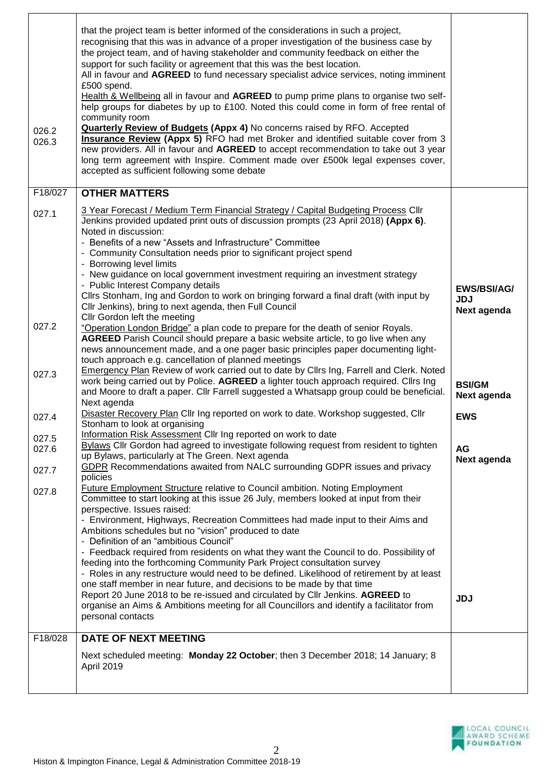| 026.2<br>026.3 | that the project team is better informed of the considerations in such a project,<br>recognising that this was in advance of a proper investigation of the business case by<br>the project team, and of having stakeholder and community feedback on either the<br>support for such facility or agreement that this was the best location.<br>All in favour and AGREED to fund necessary specialist advice services, noting imminent<br>£500 spend.<br>Health & Wellbeing all in favour and AGREED to pump prime plans to organise two self-<br>help groups for diabetes by up to £100. Noted this could come in form of free rental of<br>community room<br><b>Quarterly Review of Budgets (Appx 4) No concerns raised by RFO. Accepted</b><br><b>Insurance Review (Appx 5)</b> RFO had met Broker and identified suitable cover from 3<br>new providers. All in favour and AGREED to accept recommendation to take out 3 year<br>long term agreement with Inspire. Comment made over £500k legal expenses cover,<br>accepted as sufficient following some debate |                                                 |
|----------------|--------------------------------------------------------------------------------------------------------------------------------------------------------------------------------------------------------------------------------------------------------------------------------------------------------------------------------------------------------------------------------------------------------------------------------------------------------------------------------------------------------------------------------------------------------------------------------------------------------------------------------------------------------------------------------------------------------------------------------------------------------------------------------------------------------------------------------------------------------------------------------------------------------------------------------------------------------------------------------------------------------------------------------------------------------------------|-------------------------------------------------|
| F18/027        | <b>OTHER MATTERS</b>                                                                                                                                                                                                                                                                                                                                                                                                                                                                                                                                                                                                                                                                                                                                                                                                                                                                                                                                                                                                                                               |                                                 |
| 027.1          | 3 Year Forecast / Medium Term Financial Strategy / Capital Budgeting Process Cllr<br>Jenkins provided updated print outs of discussion prompts (23 April 2018) (Appx 6).<br>Noted in discussion:<br>- Benefits of a new "Assets and Infrastructure" Committee<br>- Community Consultation needs prior to significant project spend<br>- Borrowing level limits<br>- New guidance on local government investment requiring an investment strategy                                                                                                                                                                                                                                                                                                                                                                                                                                                                                                                                                                                                                   |                                                 |
|                | - Public Interest Company details<br>Cllrs Stonham, Ing and Gordon to work on bringing forward a final draft (with input by<br>Cllr Jenkins), bring to next agenda, then Full Council<br>Cllr Gordon left the meeting                                                                                                                                                                                                                                                                                                                                                                                                                                                                                                                                                                                                                                                                                                                                                                                                                                              | <b>EWS/BSI/AG/</b><br><b>JDJ</b><br>Next agenda |
| 027.2          | "Operation London Bridge" a plan code to prepare for the death of senior Royals.<br><b>AGREED</b> Parish Council should prepare a basic website article, to go live when any<br>news announcement made, and a one pager basic principles paper documenting light-<br>touch approach e.g. cancellation of planned meetings                                                                                                                                                                                                                                                                                                                                                                                                                                                                                                                                                                                                                                                                                                                                          |                                                 |
| 027.3          | <b>Emergency Plan</b> Review of work carried out to date by Cllrs Ing, Farrell and Clerk. Noted<br>work being carried out by Police. AGREED a lighter touch approach required. Cllrs Ing<br>and Moore to draft a paper. Cllr Farrell suggested a Whatsapp group could be beneficial.<br>Next agenda                                                                                                                                                                                                                                                                                                                                                                                                                                                                                                                                                                                                                                                                                                                                                                | <b>BSI/GM</b><br>Next agenda                    |
| 027.4          | Disaster Recovery Plan Cllr Ing reported on work to date. Workshop suggested, Cllr<br>Stonham to look at organising                                                                                                                                                                                                                                                                                                                                                                                                                                                                                                                                                                                                                                                                                                                                                                                                                                                                                                                                                | <b>EWS</b>                                      |
| 027.5<br>027.6 | Information Risk Assessment Cllr Ing reported on work to date<br>Bylaws Cllr Gordon had agreed to investigate following request from resident to tighten<br>up Bylaws, particularly at The Green. Next agenda                                                                                                                                                                                                                                                                                                                                                                                                                                                                                                                                                                                                                                                                                                                                                                                                                                                      | <b>AG</b>                                       |
| 027.7          | GDPR Recommendations awaited from NALC surrounding GDPR issues and privacy<br>policies                                                                                                                                                                                                                                                                                                                                                                                                                                                                                                                                                                                                                                                                                                                                                                                                                                                                                                                                                                             | Next agenda                                     |
| 027.8          | Future Employment Structure relative to Council ambition. Noting Employment<br>Committee to start looking at this issue 26 July, members looked at input from their<br>perspective. Issues raised:<br>- Environment, Highways, Recreation Committees had made input to their Aims and<br>Ambitions schedules but no "vision" produced to date<br>- Definition of an "ambitious Council"<br>- Feedback required from residents on what they want the Council to do. Possibility of                                                                                                                                                                                                                                                                                                                                                                                                                                                                                                                                                                                  |                                                 |
|                | feeding into the forthcoming Community Park Project consultation survey<br>- Roles in any restructure would need to be defined. Likelihood of retirement by at least<br>one staff member in near future, and decisions to be made by that time<br>Report 20 June 2018 to be re-issued and circulated by Cllr Jenkins. AGREED to<br>organise an Aims & Ambitions meeting for all Councillors and identify a facilitator from<br>personal contacts                                                                                                                                                                                                                                                                                                                                                                                                                                                                                                                                                                                                                   | <b>JDJ</b>                                      |
| F18/028        | <b>DATE OF NEXT MEETING</b>                                                                                                                                                                                                                                                                                                                                                                                                                                                                                                                                                                                                                                                                                                                                                                                                                                                                                                                                                                                                                                        |                                                 |
|                | Next scheduled meeting: Monday 22 October; then 3 December 2018; 14 January; 8<br>April 2019                                                                                                                                                                                                                                                                                                                                                                                                                                                                                                                                                                                                                                                                                                                                                                                                                                                                                                                                                                       |                                                 |